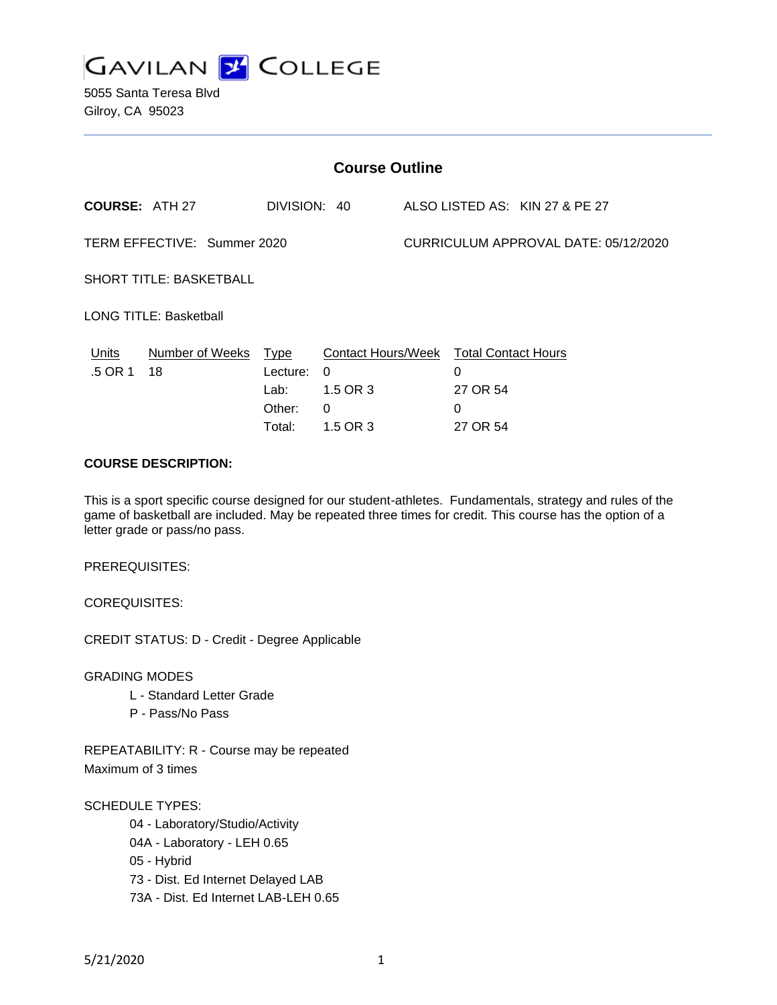

5055 Santa Teresa Blvd Gilroy, CA 95023

| <b>Course Outline</b>          |                            |                                      |                                                                                        |                                      |                                       |                                |
|--------------------------------|----------------------------|--------------------------------------|----------------------------------------------------------------------------------------|--------------------------------------|---------------------------------------|--------------------------------|
| <b>COURSE: ATH 27</b>          |                            | DIVISION: 40                         |                                                                                        |                                      |                                       | ALSO LISTED AS: KIN 27 & PE 27 |
| TERM EFFECTIVE: Summer 2020    |                            |                                      |                                                                                        | CURRICULUM APPROVAL DATE: 05/12/2020 |                                       |                                |
| <b>SHORT TITLE: BASKETBALL</b> |                            |                                      |                                                                                        |                                      |                                       |                                |
| <b>LONG TITLE: Basketball</b>  |                            |                                      |                                                                                        |                                      |                                       |                                |
| Units<br>.5 OR 1               | Number of Weeks Type<br>18 | Lecture:<br>Lab:<br>Other:<br>Total: | Contact Hours/Week Total Contact Hours<br>$\Omega$<br>1.5 OR 3<br>$\Omega$<br>1.5 OR 3 |                                      | 0<br>27 OR 54<br>$\Omega$<br>27 OR 54 |                                |

## **COURSE DESCRIPTION:**

This is a sport specific course designed for our student-athletes. Fundamentals, strategy and rules of the game of basketball are included. May be repeated three times for credit. This course has the option of a letter grade or pass/no pass.

PREREQUISITES:

COREQUISITES:

CREDIT STATUS: D - Credit - Degree Applicable

GRADING MODES

- L Standard Letter Grade
- P Pass/No Pass

REPEATABILITY: R - Course may be repeated Maximum of 3 times

SCHEDULE TYPES:

04 - Laboratory/Studio/Activity

04A - Laboratory - LEH 0.65

05 - Hybrid

73 - Dist. Ed Internet Delayed LAB

73A - Dist. Ed Internet LAB-LEH 0.65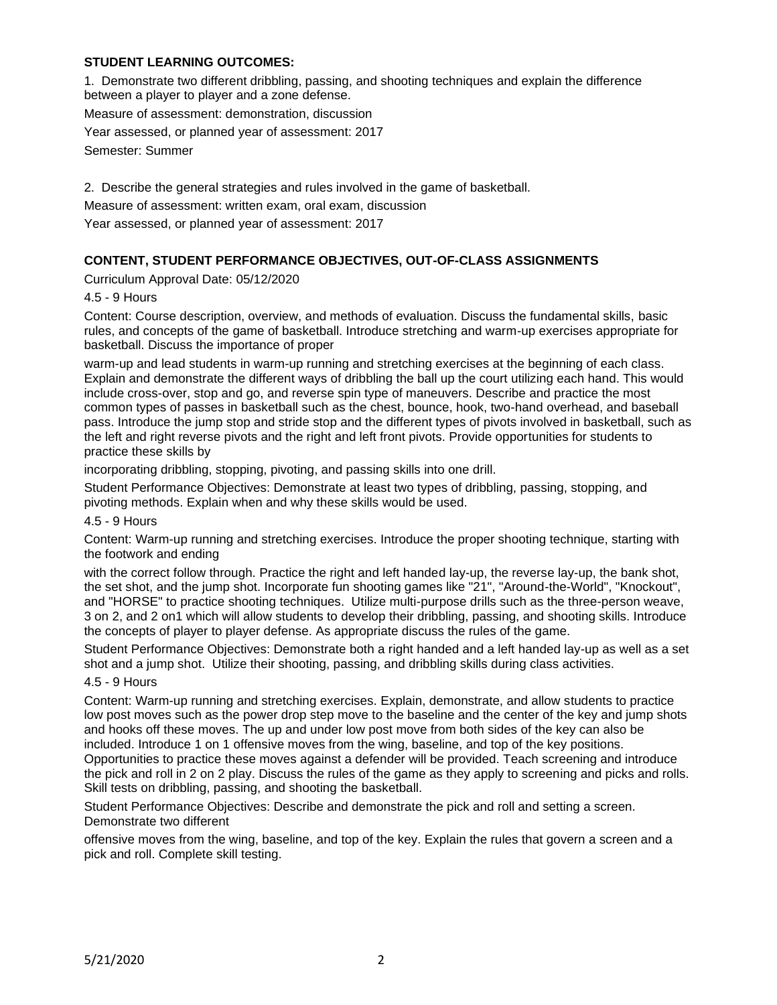## **STUDENT LEARNING OUTCOMES:**

1. Demonstrate two different dribbling, passing, and shooting techniques and explain the difference between a player to player and a zone defense.

Measure of assessment: demonstration, discussion

Year assessed, or planned year of assessment: 2017

Semester: Summer

2. Describe the general strategies and rules involved in the game of basketball.

Measure of assessment: written exam, oral exam, discussion

Year assessed, or planned year of assessment: 2017

# **CONTENT, STUDENT PERFORMANCE OBJECTIVES, OUT-OF-CLASS ASSIGNMENTS**

Curriculum Approval Date: 05/12/2020

4.5 - 9 Hours

Content: Course description, overview, and methods of evaluation. Discuss the fundamental skills, basic rules, and concepts of the game of basketball. Introduce stretching and warm-up exercises appropriate for basketball. Discuss the importance of proper

warm-up and lead students in warm-up running and stretching exercises at the beginning of each class. Explain and demonstrate the different ways of dribbling the ball up the court utilizing each hand. This would include cross-over, stop and go, and reverse spin type of maneuvers. Describe and practice the most common types of passes in basketball such as the chest, bounce, hook, two-hand overhead, and baseball pass. Introduce the jump stop and stride stop and the different types of pivots involved in basketball, such as the left and right reverse pivots and the right and left front pivots. Provide opportunities for students to practice these skills by

incorporating dribbling, stopping, pivoting, and passing skills into one drill.

Student Performance Objectives: Demonstrate at least two types of dribbling, passing, stopping, and pivoting methods. Explain when and why these skills would be used.

#### 4.5 - 9 Hours

Content: Warm-up running and stretching exercises. Introduce the proper shooting technique, starting with the footwork and ending

with the correct follow through. Practice the right and left handed lay-up, the reverse lay-up, the bank shot, the set shot, and the jump shot. Incorporate fun shooting games like "21", "Around-the-World", "Knockout", and "HORSE" to practice shooting techniques. Utilize multi-purpose drills such as the three-person weave, 3 on 2, and 2 on1 which will allow students to develop their dribbling, passing, and shooting skills. Introduce the concepts of player to player defense. As appropriate discuss the rules of the game.

Student Performance Objectives: Demonstrate both a right handed and a left handed lay-up as well as a set shot and a jump shot. Utilize their shooting, passing, and dribbling skills during class activities.

#### 4.5 - 9 Hours

Content: Warm-up running and stretching exercises. Explain, demonstrate, and allow students to practice low post moves such as the power drop step move to the baseline and the center of the key and jump shots and hooks off these moves. The up and under low post move from both sides of the key can also be included. Introduce 1 on 1 offensive moves from the wing, baseline, and top of the key positions. Opportunities to practice these moves against a defender will be provided. Teach screening and introduce the pick and roll in 2 on 2 play. Discuss the rules of the game as they apply to screening and picks and rolls. Skill tests on dribbling, passing, and shooting the basketball.

Student Performance Objectives: Describe and demonstrate the pick and roll and setting a screen. Demonstrate two different

offensive moves from the wing, baseline, and top of the key. Explain the rules that govern a screen and a pick and roll. Complete skill testing.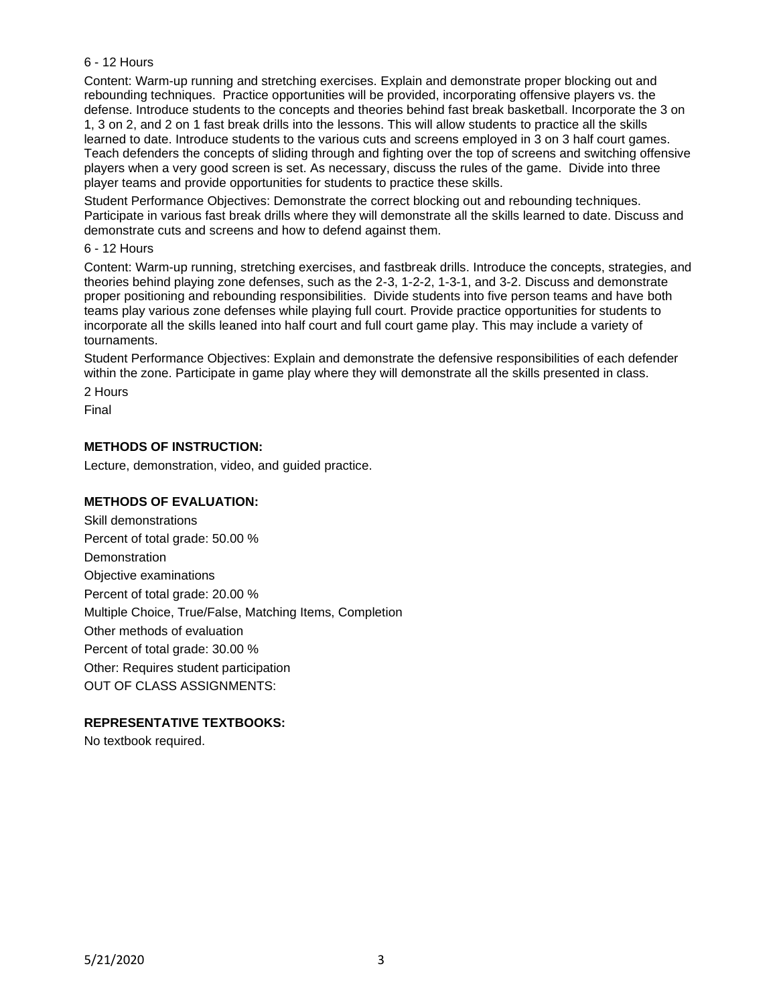## 6 - 12 Hours

Content: Warm-up running and stretching exercises. Explain and demonstrate proper blocking out and rebounding techniques. Practice opportunities will be provided, incorporating offensive players vs. the defense. Introduce students to the concepts and theories behind fast break basketball. Incorporate the 3 on 1, 3 on 2, and 2 on 1 fast break drills into the lessons. This will allow students to practice all the skills learned to date. Introduce students to the various cuts and screens employed in 3 on 3 half court games. Teach defenders the concepts of sliding through and fighting over the top of screens and switching offensive players when a very good screen is set. As necessary, discuss the rules of the game. Divide into three player teams and provide opportunities for students to practice these skills.

Student Performance Objectives: Demonstrate the correct blocking out and rebounding techniques. Participate in various fast break drills where they will demonstrate all the skills learned to date. Discuss and demonstrate cuts and screens and how to defend against them.

#### 6 - 12 Hours

Content: Warm-up running, stretching exercises, and fastbreak drills. Introduce the concepts, strategies, and theories behind playing zone defenses, such as the 2-3, 1-2-2, 1-3-1, and 3-2. Discuss and demonstrate proper positioning and rebounding responsibilities. Divide students into five person teams and have both teams play various zone defenses while playing full court. Provide practice opportunities for students to incorporate all the skills leaned into half court and full court game play. This may include a variety of tournaments.

Student Performance Objectives: Explain and demonstrate the defensive responsibilities of each defender within the zone. Participate in game play where they will demonstrate all the skills presented in class.

2 Hours

Final

## **METHODS OF INSTRUCTION:**

Lecture, demonstration, video, and guided practice.

### **METHODS OF EVALUATION:**

Skill demonstrations Percent of total grade: 50.00 % **Demonstration** Objective examinations Percent of total grade: 20.00 % Multiple Choice, True/False, Matching Items, Completion Other methods of evaluation Percent of total grade: 30.00 % Other: Requires student participation OUT OF CLASS ASSIGNMENTS:

## **REPRESENTATIVE TEXTBOOKS:**

No textbook required.